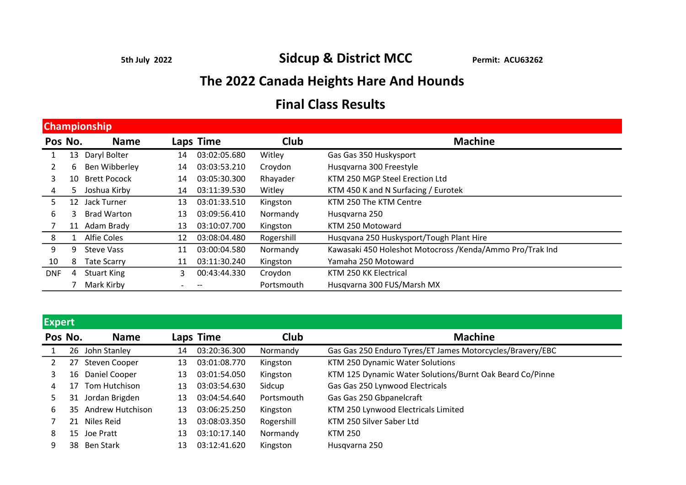5th July 2022 Sidcup & District MCC Permit: ACU63262

## The 2022 Canada Heights Hare And Hounds

## Final Class Results

| <b>Championship</b> |    |                     |    |              |             |                                                          |  |  |  |
|---------------------|----|---------------------|----|--------------|-------------|----------------------------------------------------------|--|--|--|
| Pos No.             |    | <b>Name</b>         |    | Laps Time    | <b>Club</b> | <b>Machine</b>                                           |  |  |  |
|                     | 13 | Daryl Bolter        | 14 | 03:02:05.680 | Witley      | Gas Gas 350 Huskysport                                   |  |  |  |
|                     | 6  | Ben Wibberley       | 14 | 03:03:53.210 | Croydon     | Husqvarna 300 Freestyle                                  |  |  |  |
| 3                   | 10 | <b>Brett Pocock</b> | 14 | 03:05:30.300 | Rhayader    | KTM 250 MGP Steel Erection Ltd                           |  |  |  |
| 4                   | 5. | Joshua Kirby        | 14 | 03:11:39.530 | Witley      | KTM 450 K and N Surfacing / Eurotek                      |  |  |  |
| 5.                  | 12 | Jack Turner         | 13 | 03:01:33.510 | Kingston    | KTM 250 The KTM Centre                                   |  |  |  |
| 6                   | 3  | <b>Brad Warton</b>  | 13 | 03:09:56.410 | Normandy    | Husqvarna 250                                            |  |  |  |
|                     | 11 | Adam Brady          | 13 | 03:10:07.700 | Kingston    | KTM 250 Motoward                                         |  |  |  |
| 8                   |    | <b>Alfie Coles</b>  | 12 | 03:08:04.480 | Rogershill  | Husqvana 250 Huskysport/Tough Plant Hire                 |  |  |  |
| 9                   | 9  | <b>Steve Vass</b>   | 11 | 03:00:04.580 | Normandy    | Kawasaki 450 Holeshot Motocross /Kenda/Ammo Pro/Trak Ind |  |  |  |
| 10                  | 8  | <b>Tate Scarry</b>  | 11 | 03:11:30.240 | Kingston    | Yamaha 250 Motoward                                      |  |  |  |
| <b>DNF</b>          | 4  | <b>Stuart King</b>  | 3  | 00:43:44.330 | Croydon     | KTM 250 KK Electrical                                    |  |  |  |
|                     |    | Mark Kirby          |    |              | Portsmouth  | Husqvarna 300 FUS/Marsh MX                               |  |  |  |

| d | ⋒ |  |
|---|---|--|
|   |   |  |

| <b>EXPLIC</b> |    |                     |    |              |            |                                                           |
|---------------|----|---------------------|----|--------------|------------|-----------------------------------------------------------|
| Pos No.       |    | <b>Name</b>         |    | Laps Time    | Club       | <b>Machine</b>                                            |
|               |    | 26 John Stanley     | 14 | 03:20:36.300 | Normandy   | Gas Gas 250 Enduro Tyres/ET James Motorcycles/Bravery/EBC |
|               | 27 | Steven Cooper       | 13 | 03:01:08.770 | Kingston   | KTM 250 Dynamic Water Solutions                           |
| 3             | 16 | Daniel Cooper       | 13 | 03:01:54.050 | Kingston   | KTM 125 Dynamic Water Solutions/Burnt Oak Beard Co/Pinne  |
| 4             | 17 | Tom Hutchison       | 13 | 03:03:54.630 | Sidcup     | Gas Gas 250 Lynwood Electricals                           |
|               |    | 31 Jordan Brigden   | 13 | 03:04:54.640 | Portsmouth | Gas Gas 250 Gbpanelcraft                                  |
| 6             |    | 35 Andrew Hutchison | 13 | 03:06:25.250 | Kingston   | KTM 250 Lynwood Electricals Limited                       |
|               |    | 21 Niles Reid       | 13 | 03:08:03.350 | Rogershill | KTM 250 Silver Saber Ltd                                  |
| 8             |    | 15 Joe Pratt        | 13 | 03:10:17.140 | Normandy   | KTM 250                                                   |
|               |    | 38 Ben Stark        | 13 | 03:12:41.620 | Kingston   | Husqvarna 250                                             |
|               |    |                     |    |              |            |                                                           |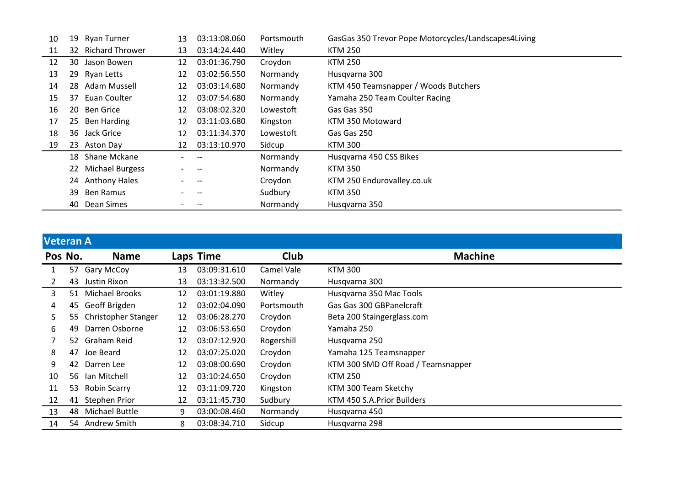| 10 | 19 | <b>Ryan Turner</b> | 13 | 03:13:08.060 | Portsmouth | GasGas 350 Trevor Pope Motorcycles/Landscapes4Living |
|----|----|--------------------|----|--------------|------------|------------------------------------------------------|
| 11 |    | 32 Richard Thrower | 13 | 03:14:24.440 | Witley     | <b>KTM 250</b>                                       |
| 12 | 30 | Jason Bowen        | 12 | 03:01:36.790 | Croydon    | <b>KTM 250</b>                                       |
| 13 |    | 29 Ryan Letts      | 12 | 03:02:56.550 | Normandy   | Husqvarna 300                                        |
| 14 |    | 28 Adam Mussell    | 12 | 03:03:14.680 | Normandy   | KTM 450 Teamsnapper / Woods Butchers                 |
| 15 | 37 | Euan Coulter       | 12 | 03:07:54.680 | Normandy   | Yamaha 250 Team Coulter Racing                       |
| 16 | 20 | <b>Ben Grice</b>   | 12 | 03:08:02.320 | Lowestoft  | Gas Gas 350                                          |
| 17 |    | 25 Ben Harding     | 12 | 03:11:03.680 | Kingston   | KTM 350 Motoward                                     |
| 18 |    | 36 Jack Grice      | 12 | 03:11:34.370 | Lowestoft  | Gas Gas 250                                          |
| 19 |    | 23 Aston Day       | 12 | 03:13:10.970 | Sidcup     | KTM 300                                              |
|    |    | 18 Shane Mckane    |    |              | Normandy   | Husqvarna 450 CSS Bikes                              |
|    |    | 22 Michael Burgess |    |              | Normandy   | <b>KTM 350</b>                                       |
|    |    | 24 Anthony Hales   |    |              | Croydon    | KTM 250 Endurovalley.co.uk                           |
|    | 39 | Ben Ramus          |    |              | Sudbury    | <b>KTM 350</b>                                       |
|    | 40 | Dean Simes         |    |              | Normandy   | Husqvarna 350                                        |

## Veteran A

| Pos No. |    | <b>Name</b>           |    | Laps Time    | <b>Club</b> | <b>Machine</b>                     |
|---------|----|-----------------------|----|--------------|-------------|------------------------------------|
|         | 57 | <b>Gary McCoy</b>     | 13 | 03:09:31.610 | Camel Vale  | <b>KTM 300</b>                     |
| 2       | 43 | Justin Rixon          | 13 | 03:13:32.500 | Normandy    | Husqvarna 300                      |
| 3       | 51 | <b>Michael Brooks</b> | 12 | 03:01:19.880 | Witley      | Husqvarna 350 Mac Tools            |
| 4       | 45 | Geoff Brigden         | 12 | 03:02:04.090 | Portsmouth  | Gas Gas 300 GBPanelcraft           |
| 5.      | 55 | Christopher Stanger   | 12 | 03:06:28.270 | Croydon     | Beta 200 Staingerglass.com         |
| 6       | 49 | Darren Osborne        | 12 | 03:06:53.650 | Croydon     | Yamaha 250                         |
|         |    | 52 Graham Reid        | 12 | 03:07:12.920 | Rogershill  | Husqvarna 250                      |
| 8       | 47 | Joe Beard             | 12 | 03:07:25.020 | Croydon     | Yamaha 125 Teamsnapper             |
| 9       | 42 | Darren Lee            | 12 | 03:08:00.690 | Croydon     | KTM 300 SMD Off Road / Teamsnapper |
| 10      | 56 | lan Mitchell          | 12 | 03:10:24.650 | Croydon     | <b>KTM 250</b>                     |
| 11      | 53 | <b>Robin Scarry</b>   | 12 | 03:11:09.720 | Kingston    | KTM 300 Team Sketchy               |
| 12      | 41 | Stephen Prior         | 12 | 03:11:45.730 | Sudbury     | KTM 450 S.A. Prior Builders        |
| 13      | 48 | <b>Michael Buttle</b> | 9  | 03:00:08.460 | Normandy    | Husqvarna 450                      |
| 14      |    | 54 Andrew Smith       | 8  | 03:08:34.710 | Sidcup      | Husqvarna 298                      |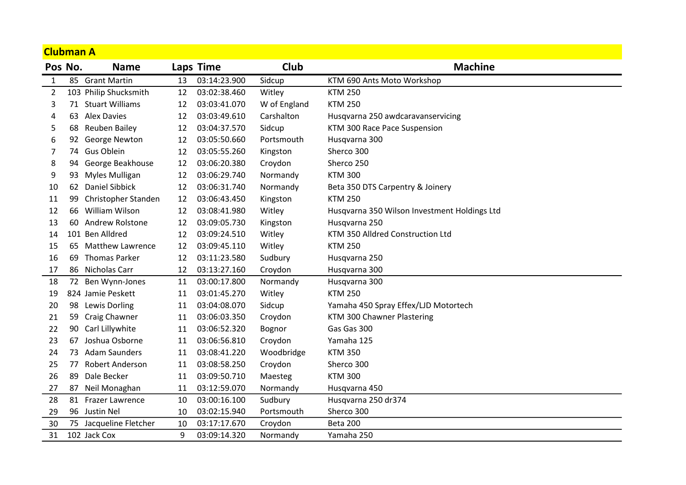| <b>Clubman A</b> |    |                         |    |              |              |                                              |
|------------------|----|-------------------------|----|--------------|--------------|----------------------------------------------|
| Pos No.          |    | <b>Name</b>             |    | Laps Time    | Club         | <b>Machine</b>                               |
| 1                | 85 | <b>Grant Martin</b>     | 13 | 03:14:23.900 | Sidcup       | KTM 690 Ants Moto Workshop                   |
| $\overline{2}$   |    | 103 Philip Shucksmith   | 12 | 03:02:38.460 | Witley       | <b>KTM 250</b>                               |
| 3                |    | 71 Stuart Williams      | 12 | 03:03:41.070 | W of England | <b>KTM 250</b>                               |
| 4                |    | 63 Alex Davies          | 12 | 03:03:49.610 | Carshalton   | Husqvarna 250 awdcaravanservicing            |
| 5                | 68 | Reuben Bailey           | 12 | 03:04:37.570 | Sidcup       | KTM 300 Race Pace Suspension                 |
| 6                | 92 | George Newton           | 12 | 03:05:50.660 | Portsmouth   | Husqvarna 300                                |
| 7                |    | 74 Gus Oblein           | 12 | 03:05:55.260 | Kingston     | Sherco 300                                   |
| 8                |    | 94 George Beakhouse     | 12 | 03:06:20.380 | Croydon      | Sherco 250                                   |
| 9                | 93 | Myles Mulligan          | 12 | 03:06:29.740 | Normandy     | <b>KTM 300</b>                               |
| 10               | 62 | <b>Daniel Sibbick</b>   | 12 | 03:06:31.740 | Normandy     | Beta 350 DTS Carpentry & Joinery             |
| 11               | 99 | Christopher Standen     | 12 | 03:06:43.450 | Kingston     | <b>KTM 250</b>                               |
| 12               | 66 | William Wilson          | 12 | 03:08:41.980 | Witley       | Husqvarna 350 Wilson Investment Holdings Ltd |
| 13               | 60 | Andrew Rolstone         | 12 | 03:09:05.730 | Kingston     | Husqvarna 250                                |
| 14               |    | 101 Ben Alldred         | 12 | 03:09:24.510 | Witley       | KTM 350 Alldred Construction Ltd             |
| 15               | 65 | <b>Matthew Lawrence</b> | 12 | 03:09:45.110 | Witley       | <b>KTM 250</b>                               |
| 16               | 69 | <b>Thomas Parker</b>    | 12 | 03:11:23.580 | Sudbury      | Husqvarna 250                                |
| 17               | 86 | Nicholas Carr           | 12 | 03:13:27.160 | Croydon      | Husqvarna 300                                |
| 18               | 72 | Ben Wynn-Jones          | 11 | 03:00:17.800 | Normandy     | Husqvarna 300                                |
| 19               |    | 824 Jamie Peskett       | 11 | 03:01:45.270 | Witley       | <b>KTM 250</b>                               |
| 20               | 98 | Lewis Dorling           | 11 | 03:04:08.070 | Sidcup       | Yamaha 450 Spray Effex/LJD Motortech         |
| 21               | 59 | Craig Chawner           | 11 | 03:06:03.350 | Croydon      | KTM 300 Chawner Plastering                   |
| 22               | 90 | Carl Lillywhite         | 11 | 03:06:52.320 | Bognor       | Gas Gas 300                                  |
| 23               | 67 | Joshua Osborne          | 11 | 03:06:56.810 | Croydon      | Yamaha 125                                   |
| 24               |    | 73 Adam Saunders        | 11 | 03:08:41.220 | Woodbridge   | <b>KTM 350</b>                               |
| 25               | 77 | Robert Anderson         | 11 | 03:08:58.250 | Croydon      | Sherco 300                                   |
| 26               | 89 | Dale Becker             | 11 | 03:09:50.710 | Maesteg      | <b>KTM 300</b>                               |
| 27               | 87 | Neil Monaghan           | 11 | 03:12:59.070 | Normandy     | Husqvarna 450                                |
| 28               | 81 | Frazer Lawrence         | 10 | 03:00:16.100 | Sudbury      | Husqvarna 250 dr374                          |
| 29               |    | 96 Justin Nel           | 10 | 03:02:15.940 | Portsmouth   | Sherco 300                                   |
| 30               |    | 75 Jacqueline Fletcher  | 10 | 03:17:17.670 | Croydon      | Beta 200                                     |
| 31               |    | 102 Jack Cox            | 9  | 03:09:14.320 | Normandy     | Yamaha 250                                   |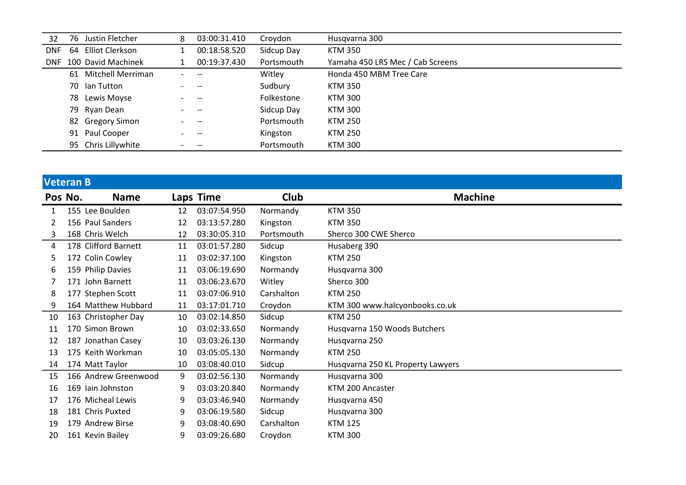| 32         | 76 Justin Fletcher   | 8                        | 03:00:31.410                          | Croydon    | Husqvarna 300                    |
|------------|----------------------|--------------------------|---------------------------------------|------------|----------------------------------|
| <b>DNF</b> | 64 Elliot Clerkson   |                          | 00:18:58.520                          | Sidcup Day | <b>KTM 350</b>                   |
| <b>DNF</b> | 100 David Machinek   |                          | 00:19:37.430                          | Portsmouth | Yamaha 450 LRS Mec / Cab Screens |
|            | 61 Mitchell Merriman |                          | $-$                                   | Witley     | Honda 450 MBM Tree Care          |
|            | 70 Ian Tutton        |                          | $\hspace{0.05cm}$ – $\hspace{0.05cm}$ | Sudbury    | KTM 350                          |
|            | 78 Lewis Moyse       |                          | $- -$                                 | Folkestone | KTM 300                          |
|            | 79 Ryan Dean         |                          |                                       | Sidcup Day | KTM 300                          |
|            | 82 Gregory Simon     |                          | $- -$                                 | Portsmouth | KTM 250                          |
|            | 91 Paul Cooper       |                          |                                       | Kingston   | <b>KTM 250</b>                   |
|            | 95 Chris Lillywhite  | $\overline{\phantom{0}}$ | $- -$                                 | Portsmouth | KTM 300                          |

| <b>Veteran B</b> |                      |    |              |            |                                   |
|------------------|----------------------|----|--------------|------------|-----------------------------------|
| Pos No.          | <b>Name</b>          |    | Laps Time    | Club       | <b>Machine</b>                    |
| $\mathbf{1}$     | 155 Lee Boulden      | 12 | 03:07:54.950 | Normandy   | <b>KTM 350</b>                    |
| 2                | 156 Paul Sanders     | 12 | 03:13:57.280 | Kingston   | <b>KTM 350</b>                    |
| 3                | 168 Chris Welch      | 12 | 03:30:05.310 | Portsmouth | Sherco 300 CWE Sherco             |
| 4                | 178 Clifford Barnett | 11 | 03:01:57.280 | Sidcup     | Husaberg 390                      |
| 5                | 172 Colin Cowley     | 11 | 03:02:37.100 | Kingston   | <b>KTM 250</b>                    |
| 6                | 159 Philip Davies    | 11 | 03:06:19.690 | Normandy   | Husqvarna 300                     |
|                  | 171 John Barnett     | 11 | 03:06:23.670 | Witley     | Sherco 300                        |
| 8                | 177 Stephen Scott    | 11 | 03:07:06.910 | Carshalton | <b>KTM 250</b>                    |
| 9                | 164 Matthew Hubbard  | 11 | 03:17:01.710 | Croydon    | KTM 300 www.halcyonbooks.co.uk    |
| 10               | 163 Christopher Day  | 10 | 03:02:14.850 | Sidcup     | <b>KTM 250</b>                    |
| 11               | 170 Simon Brown      | 10 | 03:02:33.650 | Normandy   | Husqvarna 150 Woods Butchers      |
| 12               | 187 Jonathan Casey   | 10 | 03:03:26.130 | Normandy   | Husqvarna 250                     |
| 13               | 175 Keith Workman    | 10 | 03:05:05.130 | Normandy   | <b>KTM 250</b>                    |
| 14               | 174 Matt Taylor      | 10 | 03:08:40.010 | Sidcup     | Husqvarna 250 KL Property Lawyers |
| 15               | 166 Andrew Greenwood | 9  | 03:02:56.130 | Normandy   | Husqvarna 300                     |
| 16               | 169 Iain Johnston    | 9  | 03:03:20.840 | Normandy   | KTM 200 Ancaster                  |
| 17               | 176 Micheal Lewis    | 9  | 03:03:46.940 | Normandy   | Husqvarna 450                     |
| 18               | 181 Chris Puxted     | 9  | 03:06:19.580 | Sidcup     | Husqvarna 300                     |
| 19               | 179 Andrew Birse     | 9  | 03:08:40.690 | Carshalton | <b>KTM 125</b>                    |
| 20               | 161 Kevin Bailey     | 9  | 03:09:26.680 | Croydon    | <b>KTM 300</b>                    |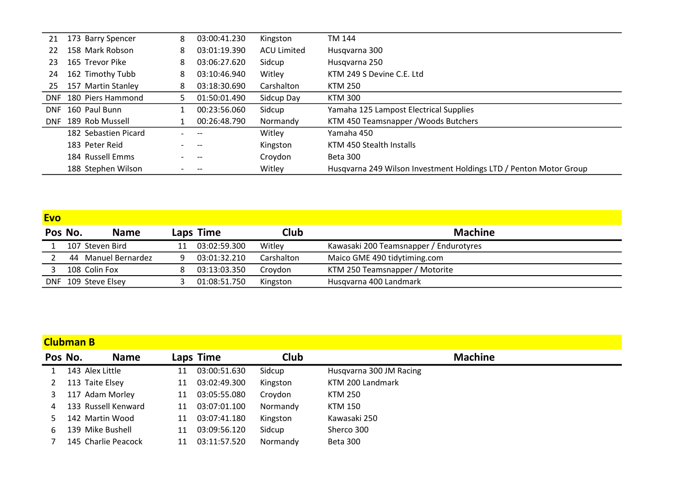| 21  | 173 Barry Spencer     | 8  | 03:00:41.230             | Kingston           | TM 144                                                            |
|-----|-----------------------|----|--------------------------|--------------------|-------------------------------------------------------------------|
| 22  | 158 Mark Robson       | 8  | 03:01:19.390             | <b>ACU Limited</b> | Husqvarna 300                                                     |
| 23  | 165 Trevor Pike       | 8  | 03:06:27.620             | Sidcup             | Husqvarna 250                                                     |
| 24  | 162 Timothy Tubb      | 8  | 03:10:46.940             | Witley             | KTM 249 S Devine C.E. Ltd                                         |
| 25  | 157 Martin Stanley    | 8  | 03:18:30.690             | Carshalton         | KTM 250                                                           |
|     | DNF 180 Piers Hammond | 5. | 01:50:01.490             | Sidcup Day         | <b>KTM 300</b>                                                    |
|     | DNF 160 Paul Bunn     |    | 00:23:56.060             | Sidcup             | Yamaha 125 Lampost Electrical Supplies                            |
| DNF | 189 Rob Mussell       |    | 00:26:48.790             | Normandy           | KTM 450 Teamsnapper / Woods Butchers                              |
|     | 182 Sebastien Picard  |    |                          | Witley             | Yamaha 450                                                        |
|     | 183 Peter Reid        |    | $\hspace{0.05cm} \ldots$ | Kingston           | KTM 450 Stealth Installs                                          |
|     | 184 Russell Emms      |    | $\qquad \qquad -$        | Croydon            | Beta 300                                                          |
|     | 188 Stephen Wilson    |    |                          | Witley             | Husgyarna 249 Wilson Investment Holdings LTD / Penton Motor Group |

| <b>Evo</b> |                     |                     |    |              |            |                                        |
|------------|---------------------|---------------------|----|--------------|------------|----------------------------------------|
|            | Pos No.             | <b>Name</b>         |    | Laps Time    | Club       | <b>Machine</b>                         |
|            | 107 Steven Bird     |                     | 11 | 03:02:59.300 | Witley     | Kawasaki 200 Teamsnapper / Endurotyres |
|            |                     | 44 Manuel Bernardez |    | 03:01:32.210 | Carshalton | Maico GME 490 tidytiming.com           |
|            | 108 Colin Fox       |                     |    | 03:13:03.350 | Crovdon    | KTM 250 Teamsnapper / Motorite         |
|            | DNF 109 Steve Elsey |                     |    | 01:08:51.750 | Kingston   | Husqvarna 400 Landmark                 |

|              | <b>Clubman B</b> |                     |    |              |             |                         |  |  |  |
|--------------|------------------|---------------------|----|--------------|-------------|-------------------------|--|--|--|
| Pos No.      |                  | <b>Name</b>         |    | Laps Time    | <b>Club</b> | <b>Machine</b>          |  |  |  |
| $\mathbf{1}$ |                  | 143 Alex Little     | 11 | 03:00:51.630 | Sidcup      | Husqvarna 300 JM Racing |  |  |  |
| 2            |                  | 113 Taite Elsey     | 11 | 03:02:49.300 | Kingston    | KTM 200 Landmark        |  |  |  |
|              |                  | 117 Adam Morley     | 11 | 03:05:55.080 | Croydon     | KTM 250                 |  |  |  |
| 4            |                  | 133 Russell Kenward | 11 | 03:07:01.100 | Normandy    | KTM 150                 |  |  |  |
|              |                  | 142 Martin Wood     | 11 | 03:07:41.180 | Kingston    | Kawasaki 250            |  |  |  |
| 6            |                  | 139 Mike Bushell    | 11 | 03:09:56.120 | Sidcup      | Sherco 300              |  |  |  |
|              |                  | 145 Charlie Peacock | 11 | 03:11:57.520 | Normandy    | Beta 300                |  |  |  |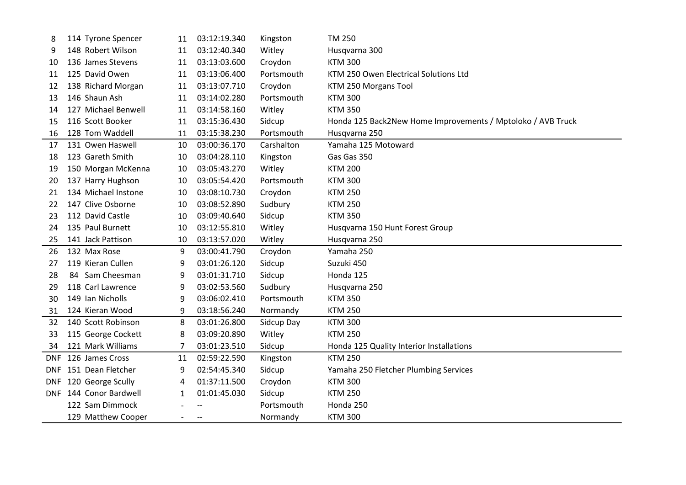| 8    | 114 Tyrone Spencer     | 11 | 03:12:19.340             | Kingston   | <b>TM 250</b>                                               |
|------|------------------------|----|--------------------------|------------|-------------------------------------------------------------|
| 9    | 148 Robert Wilson      | 11 | 03:12:40.340             | Witley     | Husqvarna 300                                               |
| 10   | 136 James Stevens      | 11 | 03:13:03.600             | Croydon    | <b>KTM 300</b>                                              |
| 11   | 125 David Owen         | 11 | 03:13:06.400             | Portsmouth | KTM 250 Owen Electrical Solutions Ltd                       |
| 12   | 138 Richard Morgan     | 11 | 03:13:07.710             | Croydon    | KTM 250 Morgans Tool                                        |
| 13   | 146 Shaun Ash          | 11 | 03:14:02.280             | Portsmouth | <b>KTM 300</b>                                              |
| 14   | 127 Michael Benwell    | 11 | 03:14:58.160             | Witley     | <b>KTM 350</b>                                              |
| 15   | 116 Scott Booker       | 11 | 03:15:36.430             | Sidcup     | Honda 125 Back2New Home Improvements / Mptoloko / AVB Truck |
| 16   | 128 Tom Waddell        | 11 | 03:15:38.230             | Portsmouth | Husqvarna 250                                               |
| 17   | 131 Owen Haswell       | 10 | 03:00:36.170             | Carshalton | Yamaha 125 Motoward                                         |
| 18   | 123 Gareth Smith       | 10 | 03:04:28.110             | Kingston   | Gas Gas 350                                                 |
| 19   | 150 Morgan McKenna     | 10 | 03:05:43.270             | Witley     | <b>KTM 200</b>                                              |
| 20   | 137 Harry Hughson      | 10 | 03:05:54.420             | Portsmouth | <b>KTM 300</b>                                              |
| 21   | 134 Michael Instone    | 10 | 03:08:10.730             | Croydon    | <b>KTM 250</b>                                              |
| 22   | 147 Clive Osborne      | 10 | 03:08:52.890             | Sudbury    | <b>KTM 250</b>                                              |
| 23   | 112 David Castle       | 10 | 03:09:40.640             | Sidcup     | <b>KTM 350</b>                                              |
| 24   | 135 Paul Burnett       | 10 | 03:12:55.810             | Witley     | Husqvarna 150 Hunt Forest Group                             |
| 25   | 141 Jack Pattison      | 10 | 03:13:57.020             | Witley     | Husqvarna 250                                               |
| 26   | 132 Max Rose           | 9  | 03:00:41.790             | Croydon    | Yamaha 250                                                  |
| 27   | 119 Kieran Cullen      | 9  | 03:01:26.120             | Sidcup     | Suzuki 450                                                  |
| 28   | 84 Sam Cheesman        | 9  | 03:01:31.710             | Sidcup     | Honda 125                                                   |
| 29   | 118 Carl Lawrence      | 9  | 03:02:53.560             | Sudbury    | Husqvarna 250                                               |
| 30   | 149 Ian Nicholls       | 9  | 03:06:02.410             | Portsmouth | <b>KTM 350</b>                                              |
| 31   | 124 Kieran Wood        | 9  | 03:18:56.240             | Normandy   | <b>KTM 250</b>                                              |
| 32   | 140 Scott Robinson     | 8  | 03:01:26.800             | Sidcup Day | <b>KTM 300</b>                                              |
| 33   | 115 George Cockett     | 8  | 03:09:20.890             | Witley     | <b>KTM 250</b>                                              |
| 34   | 121 Mark Williams      | 7  | 03:01:23.510             | Sidcup     | Honda 125 Quality Interior Installations                    |
| DNF. | 126 James Cross        | 11 | 02:59:22.590             | Kingston   | <b>KTM 250</b>                                              |
|      | DNF 151 Dean Fletcher  | 9  | 02:54:45.340             | Sidcup     | Yamaha 250 Fletcher Plumbing Services                       |
|      | DNF 120 George Scully  | 4  | 01:37:11.500             | Croydon    | <b>KTM 300</b>                                              |
|      | DNF 144 Conor Bardwell | 1  | 01:01:45.030             | Sidcup     | <b>KTM 250</b>                                              |
|      | 122 Sam Dimmock        |    |                          | Portsmouth | Honda 250                                                   |
|      | 129 Matthew Cooper     |    | $\hspace{0.05cm} \dashv$ | Normandy   | <b>KTM 300</b>                                              |